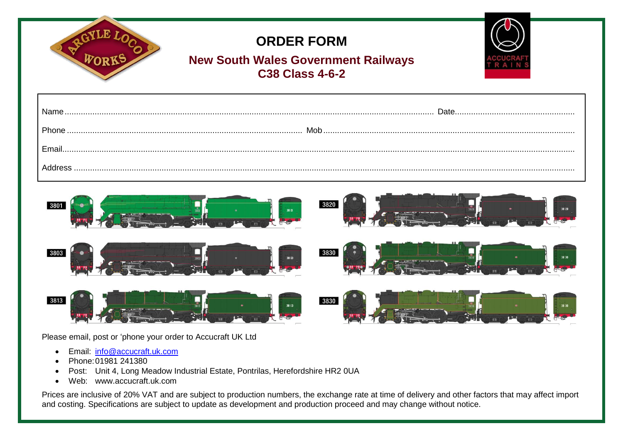|      | <b>ORDER FORM</b><br><b>New South Wales Government Railways</b><br><b>C38 Class 4-6-2</b> |               |
|------|-------------------------------------------------------------------------------------------|---------------|
|      |                                                                                           |               |
|      |                                                                                           |               |
|      |                                                                                           |               |
|      |                                                                                           |               |
| 3801 | 38 0                                                                                      | 3820<br>38 20 |
| 3803 | 38 03                                                                                     | 3830          |
| 3813 | 38 13                                                                                     | 3830          |

Please email, post or 'phone your order to Accucraft UK Ltd

- Email: [info@accucraft.uk.com](mailto:info@accucraft.uk.com)
- Phone: 01981 241380
- Post: Unit 4, Long Meadow Industrial Estate, Pontrilas, Herefordshire HR2 0UA
- Web: www.accucraft.uk.com

Prices are inclusive of 20% VAT and are subject to production numbers, the exchange rate at time of delivery and other factors that may affect import and costing. Specifications are subject to update as development and production proceed and may change without notice.